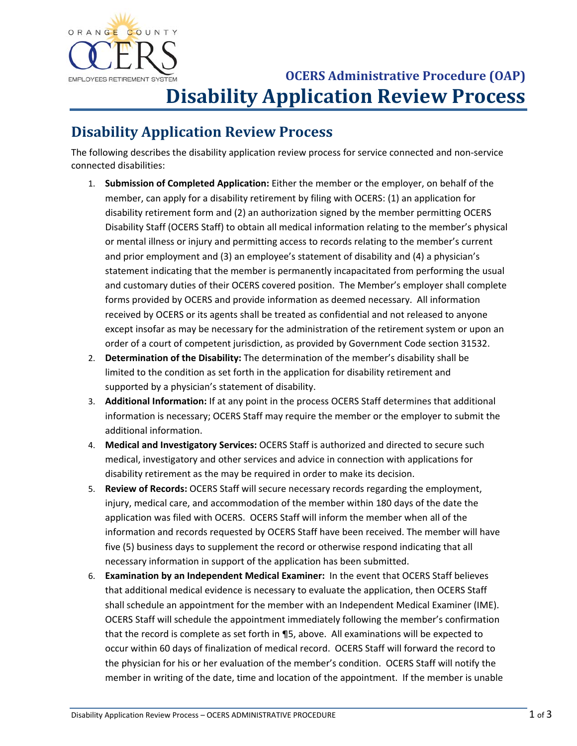

## **COLERS Administrative Procedure (OAP) Disability Application Review Process**

## **Disability Application Review Process**

 The following describes the disability application review process for service connected and non‐service connected disabilities:

- 1. **Submission of Completed Application:** Either the member or the employer, on behalf of the member, can apply for a disability retirement by filing with OCERS: (1) an application for disability retirement form and (2) an authorization signed by the member permitting OCERS Disability Staff (OCERS Staff) to obtain all medical information relating to the member's physical or mental illness or injury and permitting access to records relating to the member's current and prior employment and (3) an employee's statement of disability and (4) a physician's statement indicating that the member is permanently incapacitated from performing the usual and customary duties of their OCERS covered position. The Member's employer shall complete forms provided by OCERS and provide information as deemed necessary. All information received by OCERS or its agents shall be treated as confidential and not released to anyone except insofar as may be necessary for the administration of the retirement system or upon an order of a court of competent jurisdiction, as provided by Government Code section 31532.
- 2. **Determination of the Disability:** The determination of the member's disability shall be limited to the condition as set forth in the application for disability retirement and supported by a physician's statement of disability.
- 3. **Additional Information:** If at any point in the process OCERS Staff determines that additional information is necessary; OCERS Staff may require the member or the employer to submit the additional information.
- 4. **Medical and Investigatory Services:** OCERS Staff is authorized and directed to secure such medical, investigatory and other services and advice in connection with applications for disability retirement as the may be required in order to make its decision.
- 5. **Review of Records:** OCERS Staff will secure necessary records regarding the employment, injury, medical care, and accommodation of the member within 180 days of the date the application was filed with OCERS. OCERS Staff will inform the member when all of the information and records requested by OCERS Staff have been received. The member will have five (5) business days to supplement the record or otherwise respond indicating that all necessary information in support of the application has been submitted.
- 6. **Examination by an Independent Medical Examiner:** In the event that OCERS Staff believes that additional medical evidence is necessary to evaluate the application, then OCERS Staff shall schedule an appointment for the member with an Independent Medical Examiner (IME). OCERS Staff will schedule the appointment immediately following the member's confirmation that the record is complete as set forth in ¶5, above. All examinations will be expected to occur within 60 days of finalization of medical record. OCERS Staff will forward the record to the physician for his or her evaluation of the member's condition. OCERS Staff will notify the member in writing of the date, time and location of the appointment. If the member is unable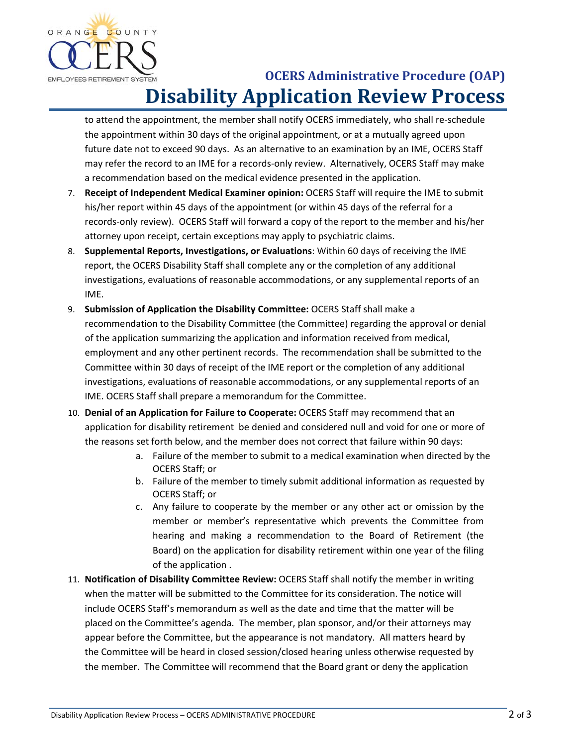

## **COLERS Administrative Procedure (OAP) Disability Application Review Process**

 to attend the appointment, the member shall notify OCERS immediately, who shall re‐schedule the appointment within 30 days of the original appointment, or at a mutually agreed upon future date not to exceed 90 days. As an alternative to an examination by an IME, OCERS Staff may refer the record to an IME for a records-only review. Alternatively, OCERS Staff may make a recommendation based on the medical evidence presented in the application.

- 7. **Receipt of Independent Medical Examiner opinion:** OCERS Staff will require the IME to submit his/her report within 45 days of the appointment (or within 45 days of the referral for a records‐only review). OCERS Staff will forward a copy of the report to the member and his/her attorney upon receipt, certain exceptions may apply to psychiatric claims.
- 8. **Supplemental Reports, Investigations, or Evaluations**: Within 60 days of receiving the IME report, the OCERS Disability Staff shall complete any or the completion of any additional investigations, evaluations of reasonable accommodations, or any supplemental reports of an IME.
- 9. **Submission of Application the Disability Committee:** OCERS Staff shall make a recommendation to the Disability Committee (the Committee) regarding the approval or denial of the application summarizing the application and information received from medical, employment and any other pertinent records. The recommendation shall be submitted to the Committee within 30 days of receipt of the IME report or the completion of any additional investigations, evaluations of reasonable accommodations, or any supplemental reports of an IME. OCERS Staff shall prepare a memorandum for the Committee.
- 10. **Denial of an Application for Failure to Cooperate:** OCERS Staff may recommend that an application for disability retirement be denied and considered null and void for one or more of the reasons set forth below, and the member does not correct that failure within 90 days:
	- a. Failure of the member to submit to a medical examination when directed by the OCERS Staff; or
	- b. Failure of the member to timely submit additional information as requested by OCERS Staff; or
	- c. Any failure to cooperate by the member or any other act or omission by the member or member's representative which prevents the Committee from hearing and making a recommendation to the Board of Retirement (the Board) on the application for disability retirement within one year of the filing of the application .
- 11. **Notification of Disability Committee Review:** OCERS Staff shall notify the member in writing when the matter will be submitted to the Committee for its consideration. The notice will include OCERS Staff's memorandum as well as the date and time that the matter will be placed on the Committee's agenda. The member, plan sponsor, and/or their attorneys may appear before the Committee, but the appearance is not mandatory. All matters heard by the Committee will be heard in closed session/closed hearing unless otherwise requested by the member. The Committee will recommend that the Board grant or deny the application